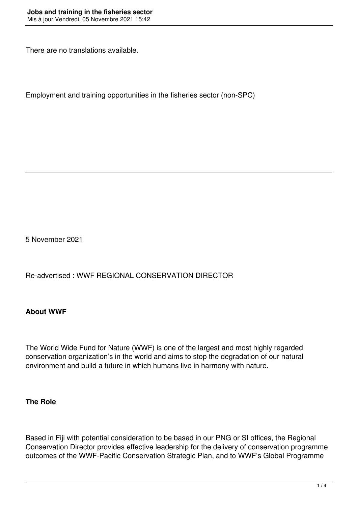There are no translations available.

Employment and training opportunities in the fisheries sector (non-SPC)

5 November 2021

Re-advertised : WWF REGIONAL CONSERVATION DIRECTOR

### **About WWF**

The World Wide Fund for Nature (WWF) is one of the largest and most highly regarded conservation organization's in the world and aims to stop the degradation of our natural environment and build a future in which humans live in harmony with nature.

#### **The Role**

Based in Fiji with potential consideration to be based in our PNG or SI offices, the Regional Conservation Director provides effective leadership for the delivery of conservation programme outcomes of the WWF-Pacific Conservation Strategic Plan, and to WWF's Global Programme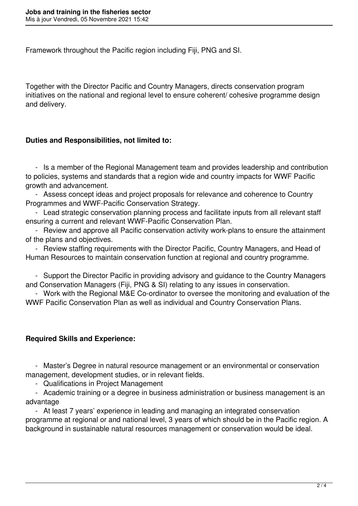Framework throughout the Pacific region including Fiji, PNG and SI.

Together with the Director Pacific and Country Managers, directs conservation program initiatives on the national and regional level to ensure coherent/ cohesive programme design and delivery.

### **Duties and Responsibilities, not limited to:**

 - Is a member of the Regional Management team and provides leadership and contribution to policies, systems and standards that a region wide and country impacts for WWF Pacific growth and advancement.

 - Assess concept ideas and project proposals for relevance and coherence to Country Programmes and WWF-Pacific Conservation Strategy.

 - Lead strategic conservation planning process and facilitate inputs from all relevant staff ensuring a current and relevant WWF-Pacific Conservation Plan.

 - Review and approve all Pacific conservation activity work-plans to ensure the attainment of the plans and objectives.

 - Review staffing requirements with the Director Pacific, Country Managers, and Head of Human Resources to maintain conservation function at regional and country programme.

 - Support the Director Pacific in providing advisory and guidance to the Country Managers and Conservation Managers (Fiji, PNG & SI) relating to any issues in conservation.

 - Work with the Regional M&E Co-ordinator to oversee the monitoring and evaluation of the WWF Pacific Conservation Plan as well as individual and Country Conservation Plans.

# **Required Skills and Experience:**

 - Master's Degree in natural resource management or an environmental or conservation management, development studies, or in relevant fields.

- Qualifications in Project Management

 - Academic training or a degree in business administration or business management is an advantage

 - At least 7 years' experience in leading and managing an integrated conservation programme at regional or and national level, 3 years of which should be in the Pacific region. A background in sustainable natural resources management or conservation would be ideal.